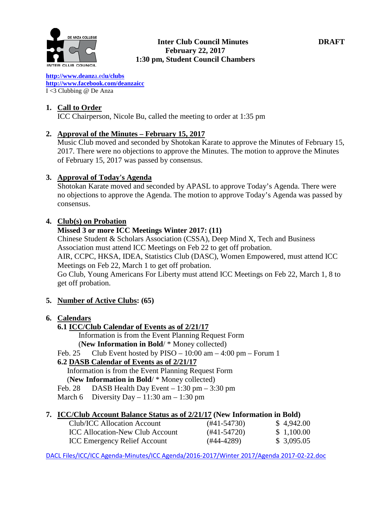

## **Inter Club Council Minutes DRAFT February 22, 2017 1:30 pm, Student Council Chambers**

**[http://www.deanz](http://www.deanza.edu/clubs)**[a.ed](http://www.deanza.edu/clubs)**[u/clubs](http://www.deanza.edu/clubs) [http://www.facebook.com/deanzaicc](http://www.facebook.com/home.php#!/group.php?gid=59034552686)** I <3 Clubbing @ De Anza

# **1. Call to Order**

ICC Chairperson, Nicole Bu, called the meeting to order at 1:35 pm

# **2. Approval of the Minutes – February 15, 2017**

Music Club moved and seconded by Shotokan Karate to approve the Minutes of February 15, 2017. There were no objections to approve the Minutes. The motion to approve the Minutes of February 15, 2017 was passed by consensus.

# **3. Approval of Today's Agenda**

Shotokan Karate moved and seconded by APASL to approve Today's Agenda. There were no objections to approve the Agenda. The motion to approve Today's Agenda was passed by consensus.

# **4. Club(s) on Probation**

## **Missed 3 or more ICC Meetings Winter 2017: (11)**

Chinese Student & Scholars Association (CSSA), Deep Mind X, Tech and Business Association must attend ICC Meetings on Feb 22 to get off probation.

AIR, CCPC, HKSA, IDEA, Statistics Club (DASC), Women Empowered, must attend ICC Meetings on Feb 22, March 1 to get off probation.

Go Club, Young Americans For Liberty must attend ICC Meetings on Feb 22, March 1, 8 to get off probation.

## **5. Number of Active Clubs: (65)**

## **6. Calendars**

- **6.1 ICC/Club Calendar of Events as of 2/21/17**
	- Information is from the Event Planning Request Form

(**New Information in Bold**/ \* Money collected)

Feb. 25 Club Event hosted by PISO  $- 10:00$  am  $- 4:00$  pm  $-$  Forum 1

# **6.2 DASB Calendar of Events as of 2/21/17**

Information is from the Event Planning Request Form (**New Information in Bold**/ \* Money collected)

- Feb. 28 DASB Health Day Event  $-1:30$  pm  $-3:30$  pm
- March 6 Diversity Day 11:30 am 1:30 pm

## **7. ICC/Club Account Balance Status as of 2/21/17 (New Information in Bold)**

| Club/ICC Allocation Account            | $(#41-54730)$ | \$4,942.00  |
|----------------------------------------|---------------|-------------|
| <b>ICC</b> Allocation-New Club Account | $(#41-54720)$ | \$1,100.00  |
| <b>ICC Emergency Relief Account</b>    | $(#44-4289)$  | \$ 3,095.05 |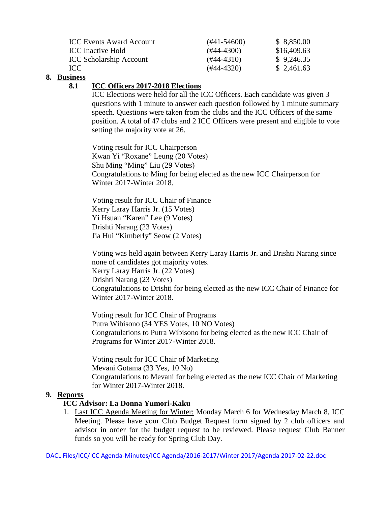| <b>ICC Events Award Account</b> | $(#41-54600)$ | \$8,850.00  |
|---------------------------------|---------------|-------------|
| <b>ICC</b> Inactive Hold        | $(#44-4300)$  | \$16,409.63 |
| <b>ICC Scholarship Account</b>  | $(#44-4310)$  | \$9,246.35  |
| ICC                             | $(#44-4320)$  | \$2,461.63  |

# **8. Business**

# **8.1 ICC Officers 2017-2018 Elections**

ICC Elections were held for all the ICC Officers. Each candidate was given 3 questions with 1 minute to answer each question followed by 1 minute summary speech. Questions were taken from the clubs and the ICC Officers of the same position. A total of 47 clubs and 2 ICC Officers were present and eligible to vote setting the majority vote at 26.

Voting result for ICC Chairperson Kwan Yi "Roxane" Leung (20 Votes) Shu Ming "Ming" Liu (29 Votes) Congratulations to Ming for being elected as the new ICC Chairperson for Winter 2017-Winter 2018.

Voting result for ICC Chair of Finance Kerry Laray Harris Jr. (15 Votes) Yi Hsuan "Karen" Lee (9 Votes) Drishti Narang (23 Votes) Jia Hui "Kimberly" Seow (2 Votes)

Voting was held again between Kerry Laray Harris Jr. and Drishti Narang since none of candidates got majority votes. Kerry Laray Harris Jr. (22 Votes) Drishti Narang (23 Votes) Congratulations to Drishti for being elected as the new ICC Chair of Finance for Winter 2017-Winter 2018.

Voting result for ICC Chair of Programs Putra Wibisono (34 YES Votes, 10 NO Votes) Congratulations to Putra Wibisono for being elected as the new ICC Chair of Programs for Winter 2017-Winter 2018.

Voting result for ICC Chair of Marketing Mevani Gotama (33 Yes, 10 No) Congratulations to Mevani for being elected as the new ICC Chair of Marketing for Winter 2017-Winter 2018.

## **9. Reports**

# **ICC Advisor: La Donna Yumori-Kaku**

1. Last ICC Agenda Meeting for Winter: Monday March 6 for Wednesday March 8, ICC Meeting. Please have your Club Budget Request form signed by 2 club officers and advisor in order for the budget request to be reviewed. Please request Club Banner funds so you will be ready for Spring Club Day.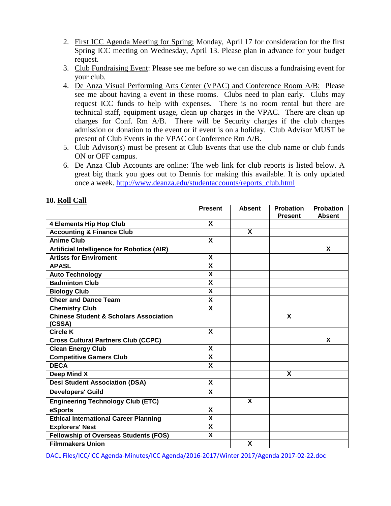- 2. First ICC Agenda Meeting for Spring: Monday, April 17 for consideration for the first Spring ICC meeting on Wednesday, April 13. Please plan in advance for your budget request.
- 3. Club Fundraising Event: Please see me before so we can discuss a fundraising event for your club.
- 4. De Anza Visual Performing Arts Center (VPAC) and Conference Room A/B: Please see me about having a event in these rooms. Clubs need to plan early. Clubs may request ICC funds to help with expenses. There is no room rental but there are technical staff, equipment usage, clean up charges in the VPAC. There are clean up charges for Conf. Rm A/B. There will be Security charges if the club charges admission or donation to the event or if event is on a holiday. Club Advisor MUST be present of Club Events in the VPAC or Conference Rm A/B.
- 5. Club Advisor(s) must be present at Club Events that use the club name or club funds ON or OFF campus.
- 6. De Anza Club Accounts are online: The web link for club reports is listed below. A great big thank you goes out to Dennis for making this available. It is only updated once a week. [http://www.deanza.edu/studentaccounts/reports\\_club.html](http://www.deanza.edu/studentaccounts/reports_club.html)

|                                                   | <b>Present</b>            | <b>Absent</b> | <b>Probation</b> | <b>Probation</b> |
|---------------------------------------------------|---------------------------|---------------|------------------|------------------|
|                                                   |                           |               | <b>Present</b>   | <b>Absent</b>    |
| <b>4 Elements Hip Hop Club</b>                    | X                         |               |                  |                  |
| <b>Accounting &amp; Finance Club</b>              |                           | X             |                  |                  |
| <b>Anime Club</b>                                 | $\mathsf{x}$              |               |                  |                  |
| <b>Artificial Intelligence for Robotics (AIR)</b> |                           |               |                  | X                |
| <b>Artists for Enviroment</b>                     | $\boldsymbol{\mathsf{x}}$ |               |                  |                  |
| <b>APASL</b>                                      | X                         |               |                  |                  |
| <b>Auto Technology</b>                            | $\overline{\mathbf{x}}$   |               |                  |                  |
| <b>Badminton Club</b>                             | X                         |               |                  |                  |
| <b>Biology Club</b>                               | $\boldsymbol{\mathsf{x}}$ |               |                  |                  |
| <b>Cheer and Dance Team</b>                       | $\overline{\mathsf{x}}$   |               |                  |                  |
| <b>Chemistry Club</b>                             | X                         |               |                  |                  |
| <b>Chinese Student &amp; Scholars Association</b> |                           |               | X                |                  |
| (CSSA)                                            |                           |               |                  |                  |
| <b>Circle K</b>                                   | $\mathbf{x}$              |               |                  |                  |
| <b>Cross Cultural Partners Club (CCPC)</b>        |                           |               |                  | X                |
| <b>Clean Energy Club</b>                          | $\boldsymbol{\mathsf{x}}$ |               |                  |                  |
| <b>Competitive Gamers Club</b>                    | $\overline{\mathbf{x}}$   |               |                  |                  |
| <b>DECA</b>                                       | X                         |               |                  |                  |
| Deep Mind X                                       |                           |               | X                |                  |
| <b>Desi Student Association (DSA)</b>             | X                         |               |                  |                  |
| <b>Developers' Guild</b>                          | X                         |               |                  |                  |
| <b>Engineering Technology Club (ETC)</b>          |                           | X             |                  |                  |
| eSports                                           | X                         |               |                  |                  |
| <b>Ethical International Career Planning</b>      | $\boldsymbol{\mathsf{X}}$ |               |                  |                  |
| <b>Explorers' Nest</b>                            | $\boldsymbol{\mathsf{x}}$ |               |                  |                  |
| <b>Fellowship of Overseas Students (FOS)</b>      | X                         |               |                  |                  |
| <b>Filmmakers Union</b>                           |                           | X             |                  |                  |

## **10. Roll Call**